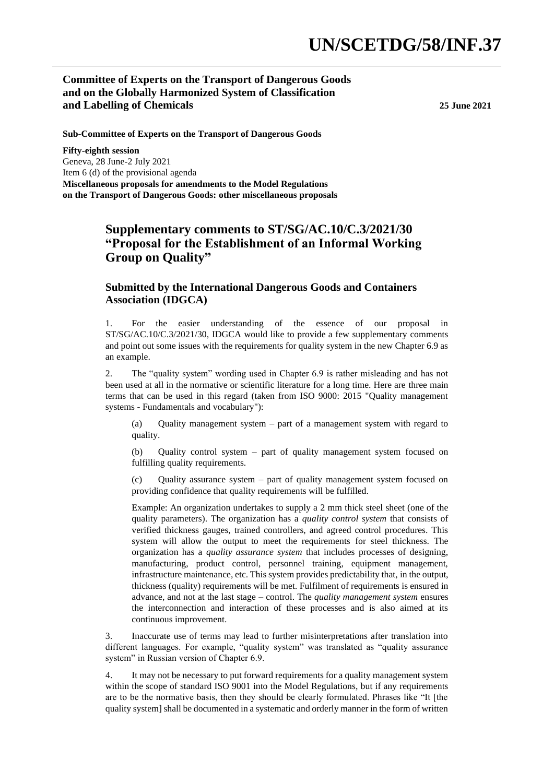## **Committee of Experts on the Transport of Dangerous Goods and on the Globally Harmonized System of Classification and Labelling of Chemicals 25 June 2021**

**Sub-Committee of Experts on the Transport of Dangerous Goods** 

**Fifty-eighth session** Geneva, 28 June-2 July 2021 Item 6 (d) of the provisional agenda **Miscellaneous proposals for amendments to the Model Regulations on the Transport of Dangerous Goods: other miscellaneous proposals**

## **Supplementary comments to ST/SG/AC.10/C.3/2021/30 "Proposal for the Establishment of an Informal Working Group on Quality"**

## **Submitted by the International Dangerous Goods and Containers Association (IDGCA)**

1. For the easier understanding of the essence of our proposal in ST/SG/AC.10/C.3/2021/30, IDGCA would like to provide a few supplementary comments and point out some issues with the requirements for quality system in the new Chapter 6.9 as an example.

2. The "quality system" wording used in Chapter 6.9 is rather misleading and has not been used at all in the normative or scientific literature for a long time. Here are three main terms that can be used in this regard (taken from ISO 9000: 2015 "Quality management systems - Fundamentals and vocabulary"):

(a) Quality management system – part of a management system with regard to quality.

(b) Quality control system – part of quality management system focused on fulfilling quality requirements.

Quality assurance system  $-$  part of quality management system focused on providing confidence that quality requirements will be fulfilled.

Example: An organization undertakes to supply a 2 mm thick steel sheet (one of the quality parameters). The organization has a *quality control system* that consists of verified thickness gauges, trained controllers, and agreed control procedures. This system will allow the output to meet the requirements for steel thickness. The organization has a *quality assurance system* that includes processes of designing, manufacturing, product control, personnel training, equipment management, infrastructure maintenance, etc. This system provides predictability that, in the output, thickness (quality) requirements will be met. Fulfilment of requirements is ensured in advance, and not at the last stage – control. The *quality management system* ensures the interconnection and interaction of these processes and is also aimed at its continuous improvement.

3. Inaccurate use of terms may lead to further misinterpretations after translation into different languages. For example, "quality system" was translated as "quality assurance system" in Russian version of Chapter 6.9.

4. It may not be necessary to put forward requirements for a quality management system within the scope of standard ISO 9001 into the Model Regulations, but if any requirements are to be the normative basis, then they should be clearly formulated. Phrases like "It [the quality system] shall be documented in a systematic and orderly manner in the form of written